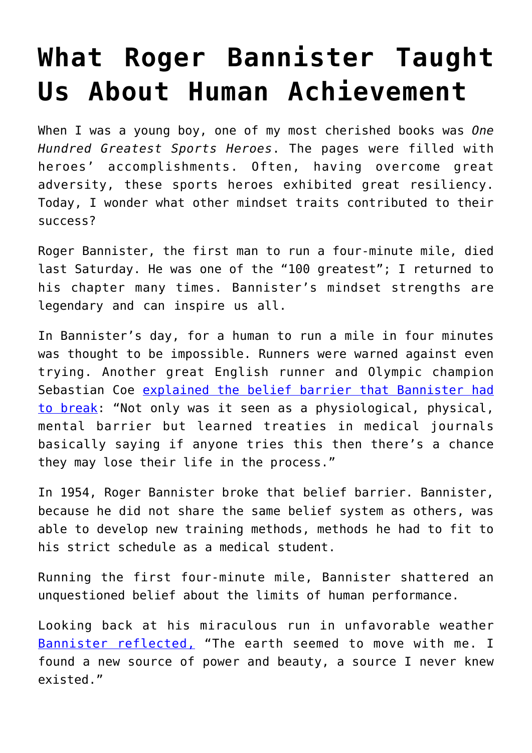## **[What Roger Bannister Taught](https://intellectualtakeout.org/2018/03/what-roger-bannister-taught-us-about-human-achievement/) [Us About Human Achievement](https://intellectualtakeout.org/2018/03/what-roger-bannister-taught-us-about-human-achievement/)**

When I was a young boy, one of my most cherished books was *One Hundred Greatest Sports Heroes*. The pages were filled with heroes' accomplishments. Often, having overcome great adversity, these sports heroes exhibited great resiliency. Today, I wonder what other mindset traits contributed to their success?

Roger Bannister, the first man to run a four-minute mile, died last Saturday. He was one of the "100 greatest"; I returned to his chapter many times. Bannister's mindset strengths are legendary and can inspire us all.

In Bannister's day, for a human to run a mile in four minutes was thought to be impossible. Runners were warned against even trying. Another great English runner and Olympic champion Sebastian Coe [explained the belief barrier that Bannister had](http://www.espn.com/athletics/story/_/id/22642120/sir-roger-bannister-dies-lord-sebastian-coe-steve-cram-lead-tributes-athlete-broke-four-minute-mile) [to break](http://www.espn.com/athletics/story/_/id/22642120/sir-roger-bannister-dies-lord-sebastian-coe-steve-cram-lead-tributes-athlete-broke-four-minute-mile): "Not only was it seen as a physiological, physical, mental barrier but learned treaties in medical journals basically saying if anyone tries this then there's a chance they may lose their life in the process."

In 1954, Roger Bannister broke that belief barrier. Bannister, because he did not share the same belief system as others, was able to develop new training methods, methods he had to fit to his strict schedule as a medical student.

Running the first four-minute mile, Bannister shattered an unquestioned belief about the limits of human performance.

Looking back at his miraculous run in unfavorable weather [Bannister reflected,](https://www.nationalreview.com/2018/03/roger-bannister-four-minute-mile-record-1954-conquered-nature/) "The earth seemed to move with me. I found a new source of power and beauty, a source I never knew existed."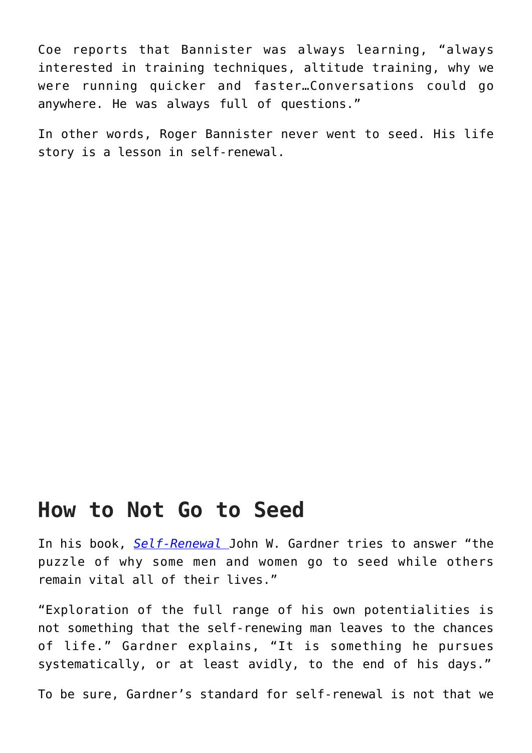Coe reports that Bannister was always learning, "always interested in training techniques, altitude training, why we were running quicker and faster…Conversations could go anywhere. He was always full of questions."

In other words, Roger Bannister never went to seed. His life story is a lesson in self-renewal.

## **How to Not Go to Seed**

In his book, *[Self-Renewal](http://amzn.to/2D7j6Mm)* John W. Gardner tries to answer "the puzzle of why some men and women go to seed while others remain vital all of their lives."

"Exploration of the full range of his own potentialities is not something that the self-renewing man leaves to the chances of life." Gardner explains, "It is something he pursues systematically, or at least avidly, to the end of his days."

To be sure, Gardner's standard for self-renewal is not that we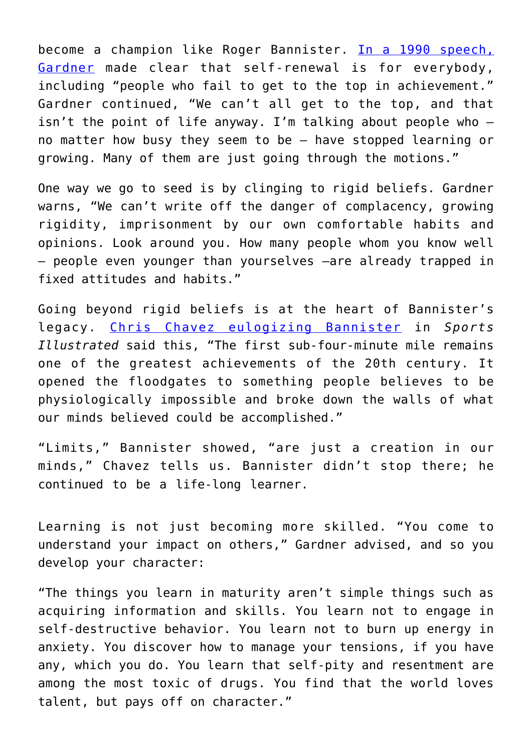become a champion like Roger Bannister. [In a 1990 speech,](http://www.pbs.org/johngardner/sections/writings_speech_1.html) [Gardner](http://www.pbs.org/johngardner/sections/writings_speech_1.html) made clear that self-renewal is for everybody, including "people who fail to get to the top in achievement." Gardner continued, "We can't all get to the top, and that isn't the point of life anyway. I'm talking about people who no matter how busy they seem to be — have stopped learning or growing. Many of them are just going through the motions."

One way we go to seed is by clinging to rigid beliefs. Gardner warns, "We can't write off the danger of complacency, growing rigidity, imprisonment by our own comfortable habits and opinions. Look around you. How many people whom you know well — people even younger than yourselves –are already trapped in fixed attitudes and habits."

Going beyond rigid beliefs is at the heart of Bannister's legacy. [Chris Chavez eulogizing Bannister](https://www.si.com/track-and-field/2018/03/04/roger-bannister-death-mile-record-england) in *Sports Illustrated* said this, "The first sub-four-minute mile remains one of the greatest achievements of the 20th century. It opened the floodgates to something people believes to be physiologically impossible and broke down the walls of what our minds believed could be accomplished."

"Limits," Bannister showed, "are just a creation in our minds," Chavez tells us. Bannister didn't stop there; he continued to be a life-long learner.

Learning is not just becoming more skilled. "You come to understand your impact on others," Gardner advised, and so you develop your character:

"The things you learn in maturity aren't simple things such as acquiring information and skills. You learn not to engage in self-destructive behavior. You learn not to burn up energy in anxiety. You discover how to manage your tensions, if you have any, which you do. You learn that self-pity and resentment are among the most toxic of drugs. You find that the world loves talent, but pays off on character."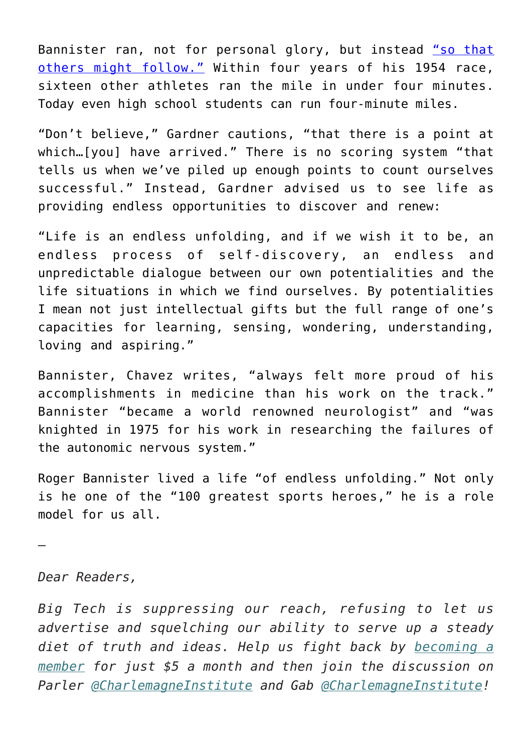Bannister ran, not for personal glory, but instead ["so that](https://www.newyorker.com/news/postscript/the-ordinary-greatness-of-roger-bannister) [others might follow."](https://www.newyorker.com/news/postscript/the-ordinary-greatness-of-roger-bannister) Within four years of his 1954 race, sixteen other athletes ran the mile in under four minutes. Today even high school students can run four-minute miles.

"Don't believe," Gardner cautions, "that there is a point at which…[you] have arrived." There is no scoring system "that tells us when we've piled up enough points to count ourselves successful." Instead, Gardner advised us to see life as providing endless opportunities to discover and renew:

"Life is an endless unfolding, and if we wish it to be, an endless process of self-discovery, an endless and unpredictable dialogue between our own potentialities and the life situations in which we find ourselves. By potentialities I mean not just intellectual gifts but the full range of one's capacities for learning, sensing, wondering, understanding, loving and aspiring."

Bannister, Chavez writes, "always felt more proud of his accomplishments in medicine than his work on the track." Bannister "became a world renowned neurologist" and "was knighted in 1975 for his work in researching the failures of the autonomic nervous system."

Roger Bannister lived a life "of endless unfolding." Not only is he one of the "100 greatest sports heroes," he is a role model for us all.

—

*Dear Readers,*

*Big Tech is suppressing our reach, refusing to let us advertise and squelching our ability to serve up a steady diet of truth and ideas. Help us fight back by [becoming a](https://www.chroniclesmagazine.org/subscribe/) [member](https://www.chroniclesmagazine.org/subscribe/) for just \$5 a month and then join the discussion on Parler [@CharlemagneInstitute](https://parler.com/profile/CharlemagneInstitute) and Gab [@CharlemagneInstitute](https://gab.com/CharlemagneInstitute)!*